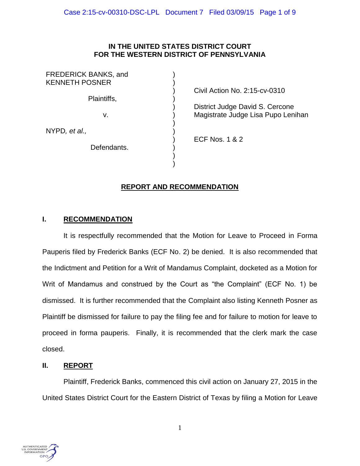### **IN THE UNITED STATES DISTRICT COURT FOR THE WESTERN DISTRICT OF PENNSYLVANIA**

| <b>FREDERICK BANKS, and</b><br><b>KENNETH POSNER</b> |                |
|------------------------------------------------------|----------------|
|                                                      | Civil /        |
| Plaintiffs,                                          | <b>Distrio</b> |
| v.                                                   | Magis          |
| NYPD, et al.,                                        | ECF I          |
| Defendants.                                          |                |

Action No. 2:15-cv-0310

ct Judge David S. Cercone strate Judge Lisa Pupo Lenihan

 $\sqrt{$  1 & 2

# **REPORT AND RECOMMENDATION**

)

## **I. RECOMMENDATION**

It is respectfully recommended that the Motion for Leave to Proceed in Forma Pauperis filed by Frederick Banks (ECF No. 2) be denied. It is also recommended that the Indictment and Petition for a Writ of Mandamus Complaint, docketed as a Motion for Writ of Mandamus and construed by the Court as "the Complaint" (ECF No. 1) be dismissed. It is further recommended that the Complaint also listing Kenneth Posner as Plaintiff be dismissed for failure to pay the filing fee and for failure to motion for leave to proceed in forma pauperis. Finally, it is recommended that the clerk mark the case closed.

### **II. REPORT**

Plaintiff, Frederick Banks, commenced this civil action on January 27, 2015 in the United States District Court for the Eastern District of Texas by filing a Motion for Leave

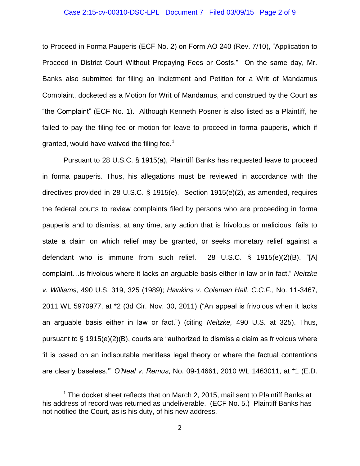#### Case 2:15-cv-00310-DSC-LPL Document 7 Filed 03/09/15 Page 2 of 9

to Proceed in Forma Pauperis (ECF No. 2) on Form AO 240 (Rev. 7/10), "Application to Proceed in District Court Without Prepaying Fees or Costs." On the same day, Mr. Banks also submitted for filing an Indictment and Petition for a Writ of Mandamus Complaint, docketed as a Motion for Writ of Mandamus, and construed by the Court as "the Complaint" (ECF No. 1). Although Kenneth Posner is also listed as a Plaintiff, he failed to pay the filing fee or motion for leave to proceed in forma pauperis, which if granted, would have waived the filing fee.<sup>1</sup>

Pursuant to 28 U.S.C. § 1915(a), Plaintiff Banks has requested leave to proceed in forma pauperis*.* Thus, his allegations must be reviewed in accordance with the directives provided in 28 U.S.C. § 1915(e). Section 1915(e)(2), as amended, requires the federal courts to review complaints filed by persons who are proceeding in forma pauperis and to dismiss, at any time, any action that is frivolous or malicious, fails to state a claim on which relief may be granted, or seeks monetary relief against a defendant who is immune from such relief. 28 U.S.C. § 1915(e)(2)(B). "[A] complaint…is frivolous where it lacks an arguable basis either in law or in fact." *Neitzke v. Williams*, 490 U.S. 319, 325 (1989); *Hawkins v. Coleman Hall*, *C.C.F*., No. 11-3467, 2011 WL 5970977, at \*2 (3d Cir. Nov. 30, 2011) ("An appeal is frivolous when it lacks an arguable basis either in law or fact.") (citing *Neitzke,* 490 U.S. at 325). Thus, pursuant to § 1915(e)(2)(B), courts are "authorized to dismiss a claim as frivolous where 'it is based on an indisputable meritless legal theory or where the factual contentions are clearly baseless.'" *O'Neal v. Remus*, No. 09-14661, 2010 WL 1463011, at \*1 (E.D.

 $\overline{a}$ 

 $1$  The docket sheet reflects that on March 2, 2015, mail sent to Plaintiff Banks at his address of record was returned as undeliverable. (ECF No. 5.) Plaintiff Banks has not notified the Court, as is his duty, of his new address.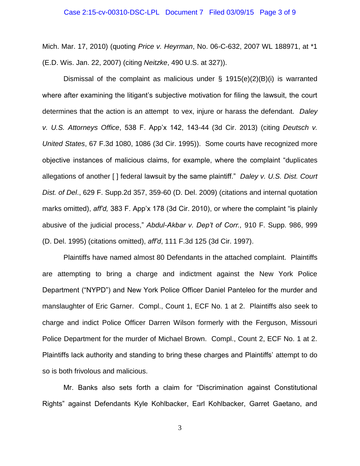#### Case 2:15-cv-00310-DSC-LPL Document 7 Filed 03/09/15 Page 3 of 9

Mich. Mar. 17, 2010) (quoting *Price v. Heyrman*, No. 06-C-632, 2007 WL 188971, at \*1 (E.D. Wis. Jan. 22, 2007) (citing *Neitzke*, 490 U.S. at 327)).

Dismissal of the complaint as malicious under  $\S$  1915(e)(2)(B)(i) is warranted where after examining the litigant's subjective motivation for filing the lawsuit, the court determines that the action is an attempt to vex, injure or harass the defendant. *Daley v. U.S. Attorneys Office*, 538 F. App'x 142, 143-44 (3d Cir. 2013) (citing *Deutsch v. United States*, 67 F.3d 1080, 1086 (3d Cir. 1995)). Some courts have recognized more objective instances of malicious claims, for example, where the complaint "duplicates allegations of another [ ] federal lawsuit by the same plaintiff." *Daley v. U.S. Dist. Court Dist. of Del*., 629 F. Supp.2d 357, 359-60 (D. Del. 2009) (citations and internal quotation marks omitted), *aff'd,* 383 F. App'x 178 (3d Cir. 2010), or where the complaint "is plainly abusive of the judicial process," *Abdul-Akbar v. Dep't of Corr.,* 910 F. Supp. 986, 999 (D. Del. 1995) (citations omitted), *aff'd*, 111 F.3d 125 (3d Cir. 1997).

Plaintiffs have named almost 80 Defendants in the attached complaint. Plaintiffs are attempting to bring a charge and indictment against the New York Police Department ("NYPD") and New York Police Officer Daniel Panteleo for the murder and manslaughter of Eric Garner. Compl., Count 1, ECF No. 1 at 2. Plaintiffs also seek to charge and indict Police Officer Darren Wilson formerly with the Ferguson, Missouri Police Department for the murder of Michael Brown. Compl., Count 2, ECF No. 1 at 2. Plaintiffs lack authority and standing to bring these charges and Plaintiffs' attempt to do so is both frivolous and malicious.

Mr. Banks also sets forth a claim for "Discrimination against Constitutional Rights" against Defendants Kyle Kohlbacker, Earl Kohlbacker, Garret Gaetano, and

3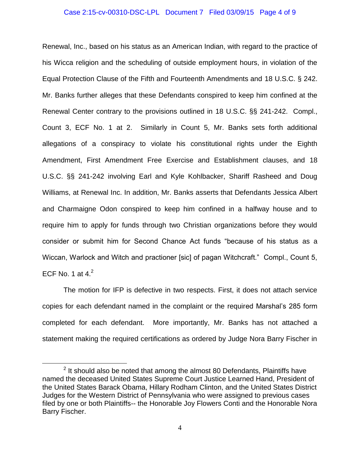#### Case 2:15-cv-00310-DSC-LPL Document 7 Filed 03/09/15 Page 4 of 9

Renewal, Inc., based on his status as an American Indian, with regard to the practice of his Wicca religion and the scheduling of outside employment hours, in violation of the Equal Protection Clause of the Fifth and Fourteenth Amendments and 18 U.S.C. § 242. Mr. Banks further alleges that these Defendants conspired to keep him confined at the Renewal Center contrary to the provisions outlined in 18 U.S.C. §§ 241-242. Compl., Count 3, ECF No. 1 at 2. Similarly in Count 5, Mr. Banks sets forth additional allegations of a conspiracy to violate his constitutional rights under the Eighth Amendment, First Amendment Free Exercise and Establishment clauses, and 18 U.S.C. §§ 241-242 involving Earl and Kyle Kohlbacker, Shariff Rasheed and Doug Williams, at Renewal Inc. In addition, Mr. Banks asserts that Defendants Jessica Albert and Charmaigne Odon conspired to keep him confined in a halfway house and to require him to apply for funds through two Christian organizations before they would consider or submit him for Second Chance Act funds "because of his status as a Wiccan, Warlock and Witch and practioner [sic] of pagan Witchcraft." Compl., Count 5, ECF No. 1 at  $4<sup>2</sup>$ 

The motion for IFP is defective in two respects. First, it does not attach service copies for each defendant named in the complaint or the required Marshal's 285 form completed for each defendant. More importantly, Mr. Banks has not attached a statement making the required certifications as ordered by Judge Nora Barry Fischer in

 $\overline{a}$ 

 $2$  It should also be noted that among the almost 80 Defendants, Plaintiffs have named the deceased United States Supreme Court Justice Learned Hand, President of the United States Barack Obama, Hillary Rodham Clinton, and the United States District Judges for the Western District of Pennsylvania who were assigned to previous cases filed by one or both Plaintiffs-- the Honorable Joy Flowers Conti and the Honorable Nora Barry Fischer.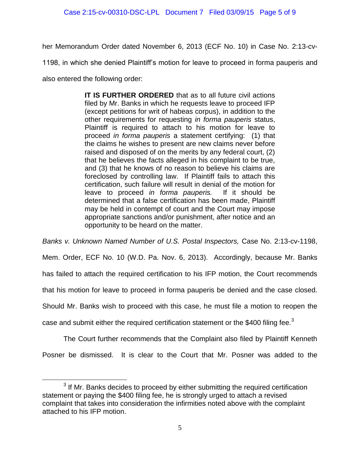her Memorandum Order dated November 6, 2013 (ECF No. 10) in Case No. 2:13-cv-

1198, in which she denied Plaintiff's motion for leave to proceed in forma pauperis and

also entered the following order:

 $\overline{a}$ 

**IT IS FURTHER ORDERED** that as to all future civil actions filed by Mr. Banks in which he requests leave to proceed IFP (except petitions for writ of habeas corpus), in addition to the other requirements for requesting *in forma pauperis* status, Plaintiff is required to attach to his motion for leave to proceed *in forma pauperis* a statement certifying: (1) that the claims he wishes to present are new claims never before raised and disposed of on the merits by any federal court, (2) that he believes the facts alleged in his complaint to be true, and (3) that he knows of no reason to believe his claims are foreclosed by controlling law. If Plaintiff fails to attach this certification, such failure will result in denial of the motion for leave to proceed *in forma pauperis.* If it should be determined that a false certification has been made, Plaintiff may be held in contempt of court and the Court may impose appropriate sanctions and/or punishment, after notice and an opportunity to be heard on the matter.

*Banks v. Unknown Named Number of U.S. Postal Inspectors,* Case No. 2:13-cv-1198,

Mem. Order, ECF No. 10 (W.D. Pa. Nov. 6, 2013). Accordingly, because Mr. Banks

has failed to attach the required certification to his IFP motion, the Court recommends

that his motion for leave to proceed in forma pauperis be denied and the case closed.

Should Mr. Banks wish to proceed with this case, he must file a motion to reopen the

case and submit either the required certification statement or the \$400 filing fee. $3$ 

The Court further recommends that the Complaint also filed by Plaintiff Kenneth Posner be dismissed. It is clear to the Court that Mr. Posner was added to the

 $3$  If Mr. Banks decides to proceed by either submitting the required certification statement or paying the \$400 filing fee, he is strongly urged to attach a revised complaint that takes into consideration the infirmities noted above with the complaint attached to his IFP motion.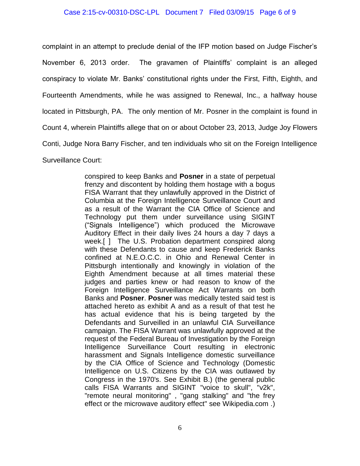#### Case 2:15-cv-00310-DSC-LPL Document 7 Filed 03/09/15 Page 6 of 9

complaint in an attempt to preclude denial of the IFP motion based on Judge Fischer's November 6, 2013 order. The gravamen of Plaintiffs' complaint is an alleged conspiracy to violate Mr. Banks' constitutional rights under the First, Fifth, Eighth, and Fourteenth Amendments, while he was assigned to Renewal, Inc., a halfway house located in Pittsburgh, PA. The only mention of Mr. Posner in the complaint is found in Count 4, wherein Plaintiffs allege that on or about October 23, 2013, Judge Joy Flowers Conti, Judge Nora Barry Fischer, and ten individuals who sit on the Foreign Intelligence Surveillance Court:

> conspired to keep Banks and **Posner** in a state of perpetual frenzy and discontent by holding them hostage with a bogus FISA Warrant that they unlawfully approved in the District of Columbia at the Foreign Intelligence Surveillance Court and as a result of the Warrant the CIA Office of Science and Technology put them under surveillance using SIGINT ("Signals Intelligence") which produced the Microwave Auditory Effect in their daily lives 24 hours a day 7 days a week.[ ] The U.S. Probation department conspired along with these Defendants to cause and keep Frederick Banks confined at N.E.O.C.C. in Ohio and Renewal Center in Pittsburgh intentionally and knowingly in violation of the Eighth Amendment because at all times material these judges and parties knew or had reason to know of the Foreign Intelligence Surveillance Act Warrants on both Banks and **Posner**. **Posner** was medically tested said test is attached hereto as exhibit A and as a result of that test he has actual evidence that his is being targeted by the Defendants and Surveilled in an unlawful CIA Surveillance campaign. The FISA Warrant was unlawfully approved at the request of the Federal Bureau of Investigation by the Foreign Intelligence Surveillance Court resulting in electronic harassment and Signals Intelligence domestic surveillance by the CIA Office of Science and Technology (Domestic Intelligence on U.S. Citizens by the CIA was outlawed by Congress in the 1970's. See Exhibit B.) (the general public calls FISA Warrants and SIGINT "voice to skull", "v2k", "remote neural monitoring" , "gang stalking" and "the frey effect or the microwave auditory effect" see Wikipedia.com .)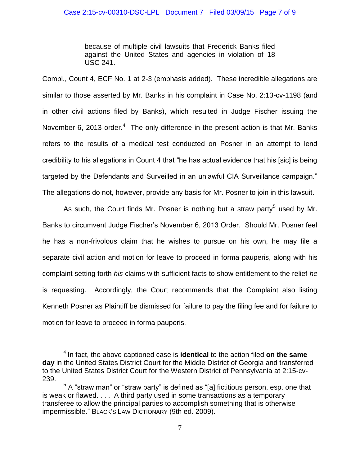because of multiple civil lawsuits that Frederick Banks filed against the United States and agencies in violation of 18 USC 241.

Compl., Count 4, ECF No. 1 at 2-3 (emphasis added). These incredible allegations are similar to those asserted by Mr. Banks in his complaint in Case No. 2:13-cv-1198 (and in other civil actions filed by Banks), which resulted in Judge Fischer issuing the November 6, 2013 order. $4$  The only difference in the present action is that Mr. Banks refers to the results of a medical test conducted on Posner in an attempt to lend credibility to his allegations in Count 4 that "he has actual evidence that his [sic] is being targeted by the Defendants and Surveilled in an unlawful CIA Surveillance campaign." The allegations do not, however, provide any basis for Mr. Posner to join in this lawsuit.

As such, the Court finds Mr. Posner is nothing but a straw party<sup>5</sup> used by Mr. Banks to circumvent Judge Fischer's November 6, 2013 Order. Should Mr. Posner feel he has a non-frivolous claim that he wishes to pursue on his own, he may file a separate civil action and motion for leave to proceed in forma pauperis, along with his complaint setting forth *his* claims with sufficient facts to show entitlement to the relief *he* is requesting. Accordingly, the Court recommends that the Complaint also listing Kenneth Posner as Plaintiff be dismissed for failure to pay the filing fee and for failure to motion for leave to proceed in forma pauperis.

 $\overline{a}$ 

<sup>4</sup> In fact, the above captioned case is **identical** to the action filed **on the same day** in the United States District Court for the Middle District of Georgia and transferred to the United States District Court for the Western District of Pennsylvania at 2:15-cv-239.

 $5$  A "straw man" or "straw party" is defined as "[a] fictitious person, esp. one that is weak or flawed. . . . A third party used in some transactions as a temporary transferee to allow the principal parties to accomplish something that is otherwise impermissible." BLACK'S LAW DICTIONARY (9th ed. 2009).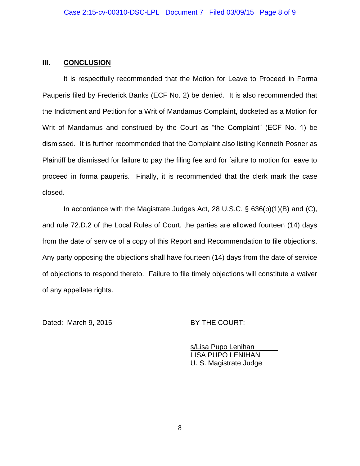### **III. CONCLUSION**

It is respectfully recommended that the Motion for Leave to Proceed in Forma Pauperis filed by Frederick Banks (ECF No. 2) be denied. It is also recommended that the Indictment and Petition for a Writ of Mandamus Complaint, docketed as a Motion for Writ of Mandamus and construed by the Court as "the Complaint" (ECF No. 1) be dismissed. It is further recommended that the Complaint also listing Kenneth Posner as Plaintiff be dismissed for failure to pay the filing fee and for failure to motion for leave to proceed in forma pauperis. Finally, it is recommended that the clerk mark the case closed.

In accordance with the Magistrate Judges Act, 28 U.S.C. § 636(b)(1)(B) and (C), and rule 72.D.2 of the Local Rules of Court, the parties are allowed fourteen (14) days from the date of service of a copy of this Report and Recommendation to file objections. Any party opposing the objections shall have fourteen (14) days from the date of service of objections to respond thereto. Failure to file timely objections will constitute a waiver of any appellate rights.

Dated: March 9, 2015 BY THE COURT:

s/Lisa Pupo Lenihan LISA PUPO LENIHAN U. S. Magistrate Judge